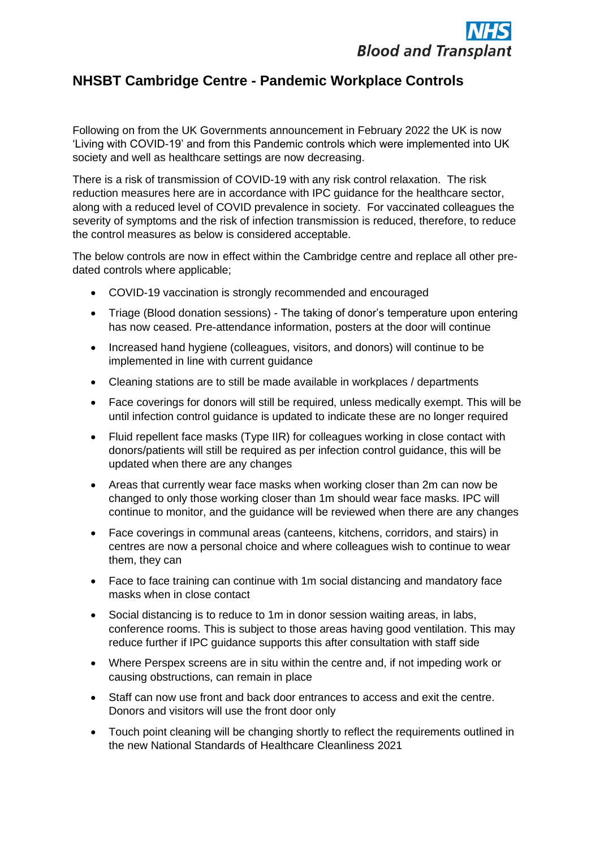

## **NHSBT Cambridge Centre - Pandemic Workplace Controls**

Following on from the UK Governments announcement in February 2022 the UK is now 'Living with COVID-19' and from this Pandemic controls which were implemented into UK society and well as healthcare settings are now decreasing.

There is a risk of transmission of COVID-19 with any risk control relaxation. The risk reduction measures here are in accordance with IPC guidance for the healthcare sector, along with a reduced level of COVID prevalence in society. For vaccinated colleagues the severity of symptoms and the risk of infection transmission is reduced, therefore, to reduce the control measures as below is considered acceptable.

The below controls are now in effect within the Cambridge centre and replace all other predated controls where applicable;

- COVID-19 vaccination is strongly recommended and encouraged
- Triage (Blood donation sessions) The taking of donor's temperature upon entering has now ceased. Pre-attendance information, posters at the door will continue
- Increased hand hygiene (colleagues, visitors, and donors) will continue to be implemented in line with current guidance
- Cleaning stations are to still be made available in workplaces / departments
- Face coverings for donors will still be required, unless medically exempt. This will be until infection control guidance is updated to indicate these are no longer required
- Fluid repellent face masks (Type IIR) for colleagues working in close contact with donors/patients will still be required as per infection control guidance, this will be updated when there are any changes
- Areas that currently wear face masks when working closer than 2m can now be changed to only those working closer than 1m should wear face masks. IPC will continue to monitor, and the guidance will be reviewed when there are any changes
- Face coverings in communal areas (canteens, kitchens, corridors, and stairs) in centres are now a personal choice and where colleagues wish to continue to wear them, they can
- Face to face training can continue with 1m social distancing and mandatory face masks when in close contact
- Social distancing is to reduce to 1m in donor session waiting areas, in labs, conference rooms. This is subject to those areas having good ventilation. This may reduce further if IPC guidance supports this after consultation with staff side
- Where Perspex screens are in situ within the centre and, if not impeding work or causing obstructions, can remain in place
- Staff can now use front and back door entrances to access and exit the centre. Donors and visitors will use the front door only
- Touch point cleaning will be changing shortly to reflect the requirements outlined in the new National Standards of Healthcare Cleanliness 2021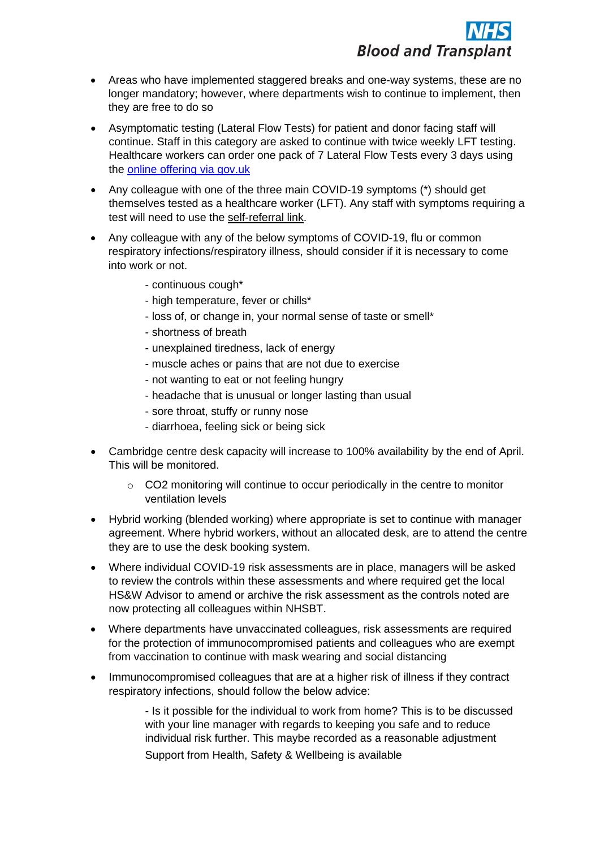- Areas who have implemented staggered breaks and one-way systems, these are no longer mandatory; however, where departments wish to continue to implement, then they are free to do so
- Asymptomatic testing (Lateral Flow Tests) for patient and donor facing staff will continue. Staff in this category are asked to continue with twice weekly LFT testing. Healthcare workers can order one pack of 7 Lateral Flow Tests every 3 days using the [online offering via gov.uk](https://www.gov.uk/order-coronavirus-rapid-lateral-flow-tests)
- Any colleague with one of the three main COVID-19 symptoms (\*) should get themselves tested as a healthcare worker (LFT). Any staff with symptoms requiring a test will need to use the [self-referral link.](https://www.gov.uk/order-coronavirus-rapid-lateral-flow-tests)
- Any colleague with any of the below symptoms of COVID-19, flu or common respiratory infections/respiratory illness, should consider if it is necessary to come into work or not.
	- continuous cough\*
	- high temperature, fever or chills\*
	- loss of, or change in, your normal sense of taste or smell\*
	- shortness of breath
	- unexplained tiredness, lack of energy
	- muscle aches or pains that are not due to exercise
	- not wanting to eat or not feeling hungry
	- headache that is unusual or longer lasting than usual
	- sore throat, stuffy or runny nose
	- diarrhoea, feeling sick or being sick
- Cambridge centre desk capacity will increase to 100% availability by the end of April. This will be monitored.
	- o CO2 monitoring will continue to occur periodically in the centre to monitor ventilation levels
- Hybrid working (blended working) where appropriate is set to continue with manager agreement. Where hybrid workers, without an allocated desk, are to attend the centre they are to use the desk booking system.
- Where individual COVID-19 risk assessments are in place, managers will be asked to review the controls within these assessments and where required get the local HS&W Advisor to amend or archive the risk assessment as the controls noted are now protecting all colleagues within NHSBT.
- Where departments have unvaccinated colleagues, risk assessments are required for the protection of immunocompromised patients and colleagues who are exempt from vaccination to continue with mask wearing and social distancing
- Immunocompromised colleagues that are at a higher risk of illness if they contract respiratory infections, should follow the below advice:

- Is it possible for the individual to work from home? This is to be discussed with your line manager with regards to keeping you safe and to reduce individual risk further. This maybe recorded as a reasonable adjustment Support from Health, Safety & Wellbeing is available